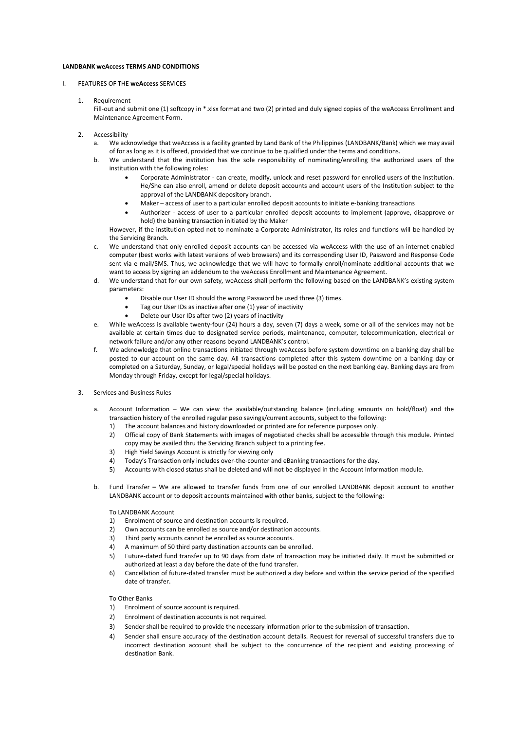## **LANDBANK weAccess TERMS AND CONDITIONS**

## I. FEATURES OF THE **weAccess** SERVICES

1. Requirement

Fill-out and submit one (1) softcopy in \*.xlsx format and two (2) printed and duly signed copies of the weAccess Enrollment and Maintenance Agreement Form.

- 2. Accessibility
	- a. We acknowledge that weAccess is a facility granted by Land Bank of the Philippines (LANDBANK/Bank) which we may avail of for as long as it is offered, provided that we continue to be qualified under the terms and conditions.
	- b. We understand that the institution has the sole responsibility of nominating/enrolling the authorized users of the institution with the following roles:
		- Corporate Administrator can create, modify, unlock and reset password for enrolled users of the Institution. He/She can also enroll, amend or delete deposit accounts and account users of the Institution subject to the approval of the LANDBANK depository branch.
		- Maker access of user to a particular enrolled deposit accounts to initiate e-banking transactions
		- Authorizer access of user to a particular enrolled deposit accounts to implement (approve, disapprove or hold) the banking transaction initiated by the Maker

However, if the institution opted not to nominate a Corporate Administrator, its roles and functions will be handled by the Servicing Branch.

- c. We understand that only enrolled deposit accounts can be accessed via weAccess with the use of an internet enabled computer (best works with latest versions of web browsers) and its corresponding User ID, Password and Response Code sent via e-mail/SMS. Thus, we acknowledge that we will have to formally enroll/nominate additional accounts that we want to access by signing an addendum to the weAccess Enrollment and Maintenance Agreement.
- d. We understand that for our own safety, weAccess shall perform the following based on the LANDBANK's existing system parameters:
	- Disable our User ID should the wrong Password be used three (3) times.
	- Tag our User IDs as inactive after one (1) year of inactivity
	- Delete our User IDs after two (2) years of inactivity
- e. While weAccess is available twenty-four (24) hours a day, seven (7) days a week, some or all of the services may not be available at certain times due to designated service periods, maintenance, computer, telecommunication, electrical or network failure and/or any other reasons beyond LANDBANK's control.
- f. We acknowledge that online transactions initiated through weAccess before system downtime on a banking day shall be posted to our account on the same day. All transactions completed after this system downtime on a banking day or completed on a Saturday, Sunday, or legal/special holidays will be posted on the next banking day. Banking days are from Monday through Friday, except for legal/special holidays.
- 3. Services and Business Rules
	- a. Account Information We can view the available/outstanding balance (including amounts on hold/float) and the transaction history of the enrolled regular peso savings/current accounts, subject to the following:
		- 1) The account balances and history downloaded or printed are for reference purposes only.
		- 2) Official copy of Bank Statements with images of negotiated checks shall be accessible through this module. Printed copy may be availed thru the Servicing Branch subject to a printing fee.
		- 3) High Yield Savings Account is strictly for viewing only
		- 4) Today's Transaction only includes over-the-counter and eBanking transactions for the day.
		- 5) Accounts with closed status shall be deleted and will not be displayed in the Account Information module.
	- b. Fund Transfer **–** We are allowed to transfer funds from one of our enrolled LANDBANK deposit account to another LANDBANK account or to deposit accounts maintained with other banks, subject to the following:

To LANDBANK Account

- 1) Enrolment of source and destination accounts is required.
- 2) Own accounts can be enrolled as source and/or destination accounts.
- 3) Third party accounts cannot be enrolled as source accounts.
- 4) A maximum of 50 third party destination accounts can be enrolled.
- 5) Future-dated fund transfer up to 90 days from date of transaction may be initiated daily. It must be submitted or authorized at least a day before the date of the fund transfer.
- 6) Cancellation of future-dated transfer must be authorized a day before and within the service period of the specified date of transfer.

## To Other Banks

- 1) Enrolment of source account is required.
- 2) Enrolment of destination accounts is not required.
- 3) Sender shall be required to provide the necessary information prior to the submission of transaction.
- 4) Sender shall ensure accuracy of the destination account details. Request for reversal of successful transfers due to incorrect destination account shall be subject to the concurrence of the recipient and existing processing of destination Bank.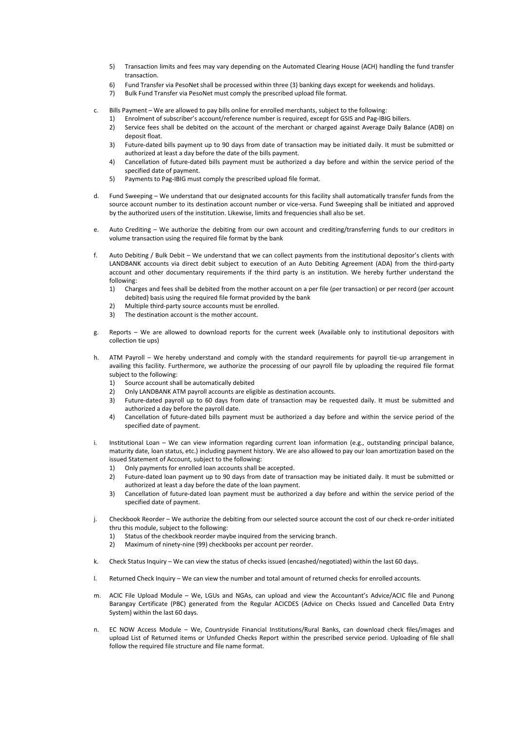- 5) Transaction limits and fees may vary depending on the Automated Clearing House (ACH) handling the fund transfer transaction.
- 6) Fund Transfer via PesoNet shall be processed within three (3) banking days except for weekends and holidays.
- 7) Bulk Fund Transfer via PesoNet must comply the prescribed upload file format.
- c. Bills Payment We are allowed to pay bills online for enrolled merchants, subject to the following:
	- 1) Enrolment of subscriber's account/reference number is required, except for GSIS and Pag-IBIG billers.
	- 2) Service fees shall be debited on the account of the merchant or charged against Average Daily Balance (ADB) on deposit float.
	- 3) Future-dated bills payment up to 90 days from date of transaction may be initiated daily. It must be submitted or authorized at least a day before the date of the bills payment.
	- 4) Cancellation of future-dated bills payment must be authorized a day before and within the service period of the specified date of payment.
	- 5) Payments to Pag-IBIG must comply the prescribed upload file format.
- d. Fund Sweeping We understand that our designated accounts for this facility shall automatically transfer funds from the source account number to its destination account number or vice-versa. Fund Sweeping shall be initiated and approved by the authorized users of the institution. Likewise, limits and frequencies shall also be set.
- e. Auto Crediting We authorize the debiting from our own account and crediting/transferring funds to our creditors in volume transaction using the required file format by the bank
- f. Auto Debiting / Bulk Debit We understand that we can collect payments from the institutional depositor's clients with LANDBANK accounts via direct debit subject to execution of an Auto Debiting Agreement (ADA) from the third-party account and other documentary requirements if the third party is an institution. We hereby further understand the following:
	- 1) Charges and fees shall be debited from the mother account on a per file (per transaction) or per record (per account debited) basis using the required file format provided by the bank
	- 2) Multiple third-party source accounts must be enrolled.
	- 3) The destination account is the mother account.
- g. Reports We are allowed to download reports for the current week (Available only to institutional depositors with collection tie ups)
- h. ATM Payroll We hereby understand and comply with the standard requirements for payroll tie-up arrangement in availing this facility. Furthermore, we authorize the processing of our payroll file by uploading the required file format subject to the following:
	- 1) Source account shall be automatically debited
	- 2) Only LANDBANK ATM payroll accounts are eligible as destination accounts.
	- 3) Future-dated payroll up to 60 days from date of transaction may be requested daily. It must be submitted and authorized a day before the payroll date.
	- 4) Cancellation of future-dated bills payment must be authorized a day before and within the service period of the specified date of payment.
- i. Institutional Loan We can view information regarding current loan information (e.g., outstanding principal balance, maturity date, loan status, etc.) including payment history. We are also allowed to pay our loan amortization based on the issued Statement of Account, subject to the following:
	- 1) Only payments for enrolled loan accounts shall be accepted.
	- 2) Future-dated loan payment up to 90 days from date of transaction may be initiated daily. It must be submitted or authorized at least a day before the date of the loan payment.
	- 3) Cancellation of future-dated loan payment must be authorized a day before and within the service period of the specified date of payment.
- j. Checkbook Reorder We authorize the debiting from our selected source account the cost of our check re-order initiated thru this module, subject to the following:
	- 1) Status of the checkbook reorder maybe inquired from the servicing branch.
	- 2) Maximum of ninety-nine (99) checkbooks per account per reorder.
- k. Check Status Inquiry We can view the status of checks issued (encashed/negotiated) within the last 60 days.
- l. Returned Check Inquiry We can view the number and total amount of returned checks for enrolled accounts.
- m. ACIC File Upload Module We, LGUs and NGAs, can upload and view the Accountant's Advice/ACIC file and Punong Barangay Certificate (PBC) generated from the Regular ACICDES (Advice on Checks Issued and Cancelled Data Entry System) within the last 60 days.
- n. EC NOW Access Module We, Countryside Financial Institutions/Rural Banks, can download check files/images and upload List of Returned items or Unfunded Checks Report within the prescribed service period. Uploading of file shall follow the required file structure and file name format.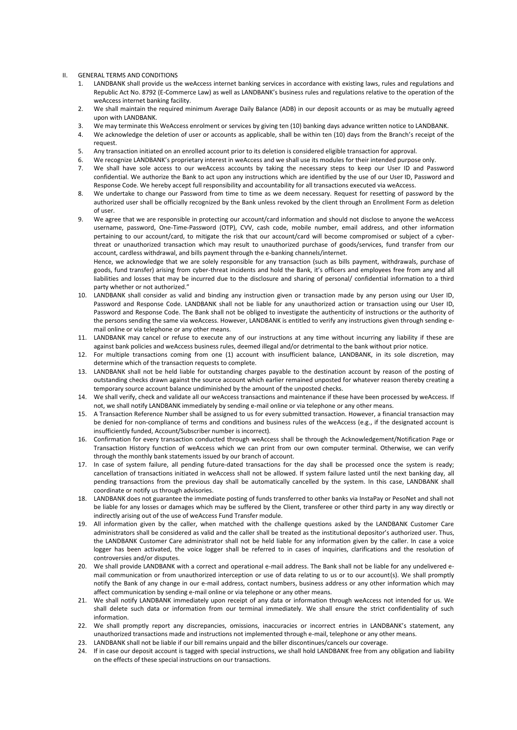- II. GENERAL TERMS AND CONDITIONS
	- 1. LANDBANK shall provide us the weAccess internet banking services in accordance with existing laws, rules and regulations and Republic Act No. 8792 (E-Commerce Law) as well as LANDBANK's business rules and regulations relative to the operation of the weAccess internet banking facility.
	- 2. We shall maintain the required minimum Average Daily Balance (ADB) in our deposit accounts or as may be mutually agreed upon with LANDBANK.
	- 3. We may terminate this WeAccess enrolment or services by giving ten (10) banking days advance written notice to LANDBANK.
	- 4. We acknowledge the deletion of user or accounts as applicable, shall be within ten (10) days from the Branch's receipt of the request.
	- 5. Any transaction initiated on an enrolled account prior to its deletion is considered eligible transaction for approval.
	- 6. We recognize LANDBANK's proprietary interest in weAccess and we shall use its modules for their intended purpose only.
	- 7. We shall have sole access to our weAccess accounts by taking the necessary steps to keep our User ID and Password confidential. We authorize the Bank to act upon any instructions which are identified by the use of our User ID, Password and Response Code. We hereby accept full responsibility and accountability for all transactions executed via weAccess.
	- 8. We undertake to change our Password from time to time as we deem necessary. Request for resetting of password by the authorized user shall be officially recognized by the Bank unless revoked by the client through an Enrollment Form as deletion of user.
	- 9. We agree that we are responsible in protecting our account/card information and should not disclose to anyone the weAccess username, password, One-Time-Password (OTP), CVV, cash code, mobile number, email address, and other information pertaining to our account/card, to mitigate the risk that our account/card will become compromised or subject of a cyberthreat or unauthorized transaction which may result to unauthorized purchase of goods/services, fund transfer from our account, cardless withdrawal, and bills payment through the e-banking channels/internet.

Hence, we acknowledge that we are solely responsible for any transaction (such as bills payment, withdrawals, purchase of goods, fund transfer) arising from cyber-threat incidents and hold the Bank, it's officers and employees free from any and all liabilities and losses that may be incurred due to the disclosure and sharing of personal/ confidential information to a third party whether or not authorized."

- 10. LANDBANK shall consider as valid and binding any instruction given or transaction made by any person using our User ID, Password and Response Code. LANDBANK shall not be liable for any unauthorized action or transaction using our User ID, Password and Response Code. The Bank shall not be obliged to investigate the authenticity of instructions or the authority of the persons sending the same via weAccess. However, LANDBANK is entitled to verify any instructions given through sending email online or via telephone or any other means.
- 11. LANDBANK may cancel or refuse to execute any of our instructions at any time without incurring any liability if these are against bank policies and weAccess business rules, deemed illegal and/or detrimental to the bank without prior notice.
- 12. For multiple transactions coming from one (1) account with insufficient balance, LANDBANK, in its sole discretion, may determine which of the transaction requests to complete.
- 13. LANDBANK shall not be held liable for outstanding charges payable to the destination account by reason of the posting of outstanding checks drawn against the source account which earlier remained unposted for whatever reason thereby creating a temporary source account balance undiminished by the amount of the unposted checks.
- 14. We shall verify, check and validate all our weAccess transactions and maintenance if these have been processed by weAccess. If not, we shall notify LANDBANK immediately by sending e-mail online or via telephone or any other means.
- 15. A Transaction Reference Number shall be assigned to us for every submitted transaction. However, a financial transaction may be denied for non-compliance of terms and conditions and business rules of the weAccess (e.g., if the designated account is insufficiently funded, Account/Subscriber number is incorrect).
- 16. Confirmation for every transaction conducted through weAccess shall be through the Acknowledgement/Notification Page or Transaction History function of weAccess which we can print from our own computer terminal. Otherwise, we can verify through the monthly bank statements issued by our branch of account.
- 17. In case of system failure, all pending future-dated transactions for the day shall be processed once the system is ready; cancellation of transactions initiated in weAccess shall not be allowed. If system failure lasted until the next banking day, all pending transactions from the previous day shall be automatically cancelled by the system. In this case, LANDBANK shall coordinate or notify us through advisories.
- 18. LANDBANK does not guarantee the immediate posting of funds transferred to other banks via InstaPay or PesoNet and shall not be liable for any losses or damages which may be suffered by the Client, transferee or other third party in any way directly or indirectly arising out of the use of weAccess Fund Transfer module.
- 19. All information given by the caller, when matched with the challenge questions asked by the LANDBANK Customer Care administrators shall be considered as valid and the caller shall be treated as the institutional depositor's authorized user. Thus, the LANDBANK Customer Care administrator shall not be held liable for any information given by the caller. In case a voice logger has been activated, the voice logger shall be referred to in cases of inquiries, clarifications and the resolution of controversies and/or disputes.
- 20. We shall provide LANDBANK with a correct and operational e-mail address. The Bank shall not be liable for any undelivered email communication or from unauthorized interception or use of data relating to us or to our account(s). We shall promptly notify the Bank of any change in our e-mail address, contact numbers, business address or any other information which may affect communication by sending e-mail online or via telephone or any other means.
- 21. We shall notify LANDBANK immediately upon receipt of any data or information through weAccess not intended for us. We shall delete such data or information from our terminal immediately. We shall ensure the strict confidentiality of such information.
- 22. We shall promptly report any discrepancies, omissions, inaccuracies or incorrect entries in LANDBANK's statement, any unauthorized transactions made and instructions not implemented through e-mail, telephone or any other means.
- 23. LANDBANK shall not be liable if our bill remains unpaid and the biller discontinues/cancels our coverage.
- 24. If in case our deposit account is tagged with special instructions, we shall hold LANDBANK free from any obligation and liability on the effects of these special instructions on our transactions.